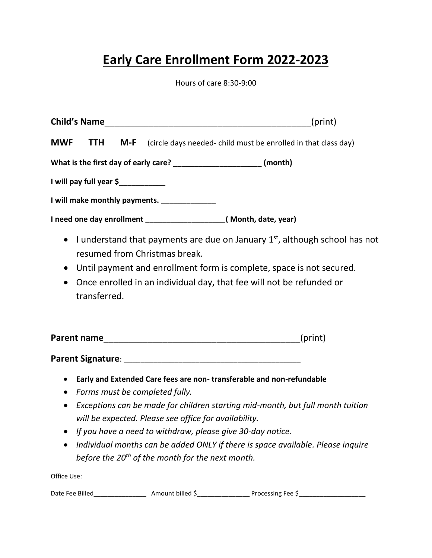## **Early Care Enrollment Form 2022-2023**

Hours of care 8:30-9:00

| <b>Child's Name</b>                                                                                                                                                                                                                                                           | (print)                                                       |
|-------------------------------------------------------------------------------------------------------------------------------------------------------------------------------------------------------------------------------------------------------------------------------|---------------------------------------------------------------|
| <b>MWF</b><br><b>TTH</b><br>M-F                                                                                                                                                                                                                                               | (circle days needed-child must be enrolled in that class day) |
| What is the first day of early care? _________________________(month)                                                                                                                                                                                                         |                                                               |
|                                                                                                                                                                                                                                                                               |                                                               |
| I will make monthly payments. _____________                                                                                                                                                                                                                                   |                                                               |
|                                                                                                                                                                                                                                                                               |                                                               |
| • I understand that payments are due on January $1st$ , although school has not<br>resumed from Christmas break.<br>Until payment and enrollment form is complete, space is not secured.<br>$\bullet$<br>Once enrolled in an individual day, that fee will not be refunded or |                                                               |
| transferred.<br><b>Parent name</b>                                                                                                                                                                                                                                            | (print)                                                       |

**Parent Signature**: \_\_\_\_\_\_\_\_\_\_\_\_\_\_\_\_\_\_\_\_\_\_\_\_\_\_\_\_\_\_\_\_\_\_\_\_\_\_\_\_\_\_

- x **Early and Extended Care fees are non- transferable and non-refundable**
- x *Forms must be completed fully.*
- x *Exceptions can be made for children starting mid-month, but full month tuition will be expected. Please see office for availability.*
- x *If you have a need to withdraw, please give 30-day notice.*
- x *Individual months can be added ONLY if there is space available. Please inquire before the 20th of the month for the next month.*

Office Use:

| Date Fee Billed | Amount billed S | Processing Fee \ |
|-----------------|-----------------|------------------|
|-----------------|-----------------|------------------|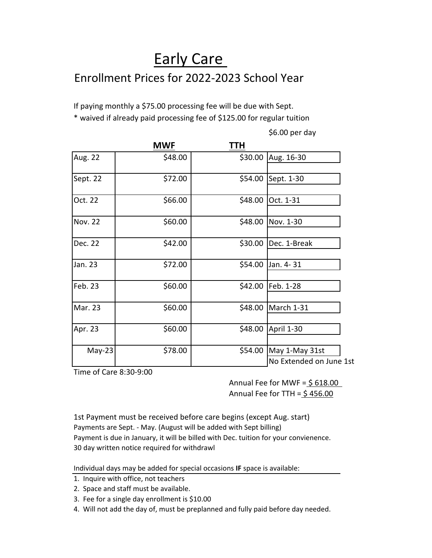## Early Care Enrollment Prices for 2022-2023 School Year

If paying monthly a \$75.00 processing fee will be due with Sept. \* waived if already paid processing fee of \$125.00 for regular tuition

|                | <b>MWF</b> | TTH     |                                           |
|----------------|------------|---------|-------------------------------------------|
| Aug. 22        | \$48.00    | \$30.00 | Aug. 16-30                                |
| Sept. 22       | \$72.00    | \$54.00 | Sept. 1-30                                |
| Oct. 22        | \$66.00    | \$48.00 | Oct. 1-31                                 |
| <b>Nov. 22</b> | \$60.00    | \$48.00 | Nov. 1-30                                 |
| Dec. 22        | \$42.00    | \$30.00 | Dec. 1-Break                              |
| Jan. 23        | \$72.00    | \$54.00 | Jan. 4-31                                 |
| Feb. 23        | \$60.00    | \$42.00 | Feb. 1-28                                 |
| Mar. 23        | \$60.00    | \$48.00 | March 1-31                                |
| Apr. 23        | \$60.00    | \$48.00 | April 1-30                                |
| $May-23$       | \$78.00    | \$54.00 | May 1-May 31st<br>No Extended on June 1st |

Time of Care 8:30-9:00

Annual Fee for MWF =  $$618.00$ Annual Fee for TTH =  $$456.00$ 

\$6.00 per day

1st Payment must be received before care begins (except Aug. start) Payments are Sept. - May. (August will be added with Sept billing) Payment is due in January, it will be billed with Dec. tuition for your convienence. 30 day written notice required for withdrawl

Individual days may be added for special occasions **IF** space is available:

- 1. Inquire with office, not teachers
- 2. Space and staff must be available.
- 3. Fee for a single day enrollment is \$10.00
- 4. Will not add the day of, must be preplanned and fully paid before day needed.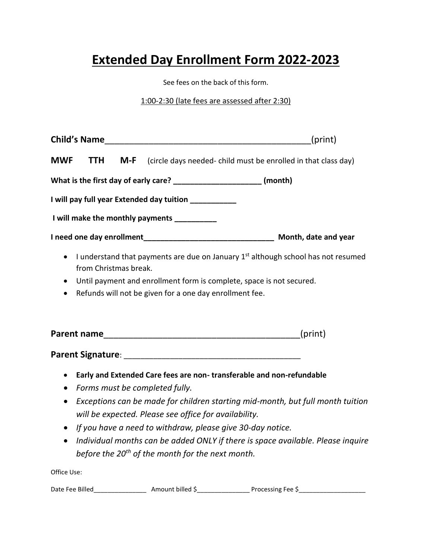## **Extended Day Enrollment Form 2022-2023**

See fees on the back of this form.

1:00-2:30 (late fees are assessed after 2:30)

|                                                                                                                                                                                                                                                                                                  | (print) |
|--------------------------------------------------------------------------------------------------------------------------------------------------------------------------------------------------------------------------------------------------------------------------------------------------|---------|
| <b>MWF</b><br><b>TTH</b><br>M-F<br>(circle days needed-child must be enrolled in that class day)                                                                                                                                                                                                 |         |
| What is the first day of early care? _______________________ (month)                                                                                                                                                                                                                             |         |
| I will pay full year Extended day tuition ____________                                                                                                                                                                                                                                           |         |
| I will make the monthly payments _________                                                                                                                                                                                                                                                       |         |
|                                                                                                                                                                                                                                                                                                  |         |
| I understand that payments are due on January 1 <sup>st</sup> although school has not resumed<br>$\bullet$<br>from Christmas break.<br>Until payment and enrollment form is complete, space is not secured.<br>$\bullet$<br>Refunds will not be given for a one day enrollment fee.<br>$\bullet$ |         |
|                                                                                                                                                                                                                                                                                                  | (print) |
|                                                                                                                                                                                                                                                                                                  |         |
| Early and Extended Care fees are non-transferable and non-refundable<br>Forms must be completed fully.<br>$\bullet$                                                                                                                                                                              |         |
| Exceptions can be made for children starting mid-month, but full month tuition<br>$\bullet$<br>will be expected. Please see office for availability.                                                                                                                                             |         |

- x *If you have a need to withdraw, please give 30-day notice.*
- x *Individual months can be added ONLY if there is space available. Please inquire before the 20th of the month for the next month.*

Office Use:

| Date Fee Billed | ۔ Amount billed | Processing Fee S |
|-----------------|-----------------|------------------|
|-----------------|-----------------|------------------|